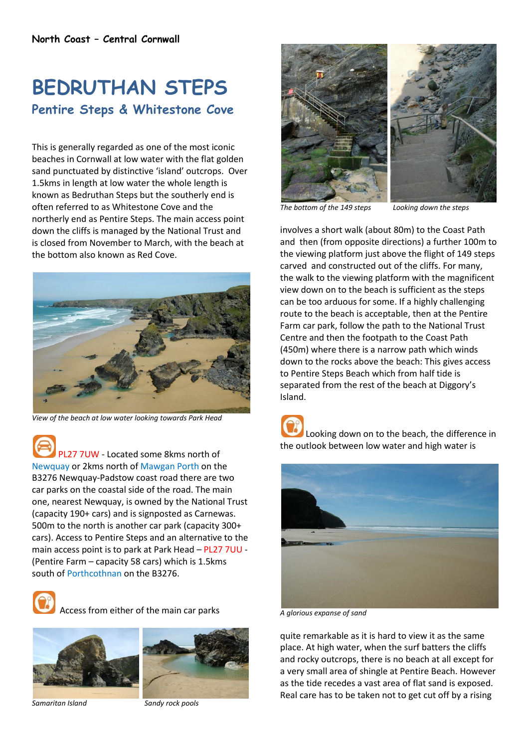## **BEDRUTHAN STEPS Pentire Steps & Whitestone Cove**

This is generally regarded as one of the most iconic beaches in Cornwall at low water with the flat golden sand punctuated by distinctive 'island' outcrops. Over 1.5kms in length at low water the whole length is known as Bedruthan Steps but the southerly end is often referred to as Whitestone Cove and the northerly end as Pentire Steps. The main access point down the cliffs is managed by the National Trust and is closed from November to March, with the beach at the bottom also known as Red Cove.



*View of the beach at low water looking towards Park Head*

PL27 7UW - Located some 8kms north of Newquay or 2kms north of Mawgan Porth on the B3276 Newquay-Padstow coast road there are two car parks on the coastal side of the road. The main one, nearest Newquay, is owned by the National Trust (capacity 190+ cars) and is signposted as Carnewas. 500m to the north is another car park (capacity 300+ cars). Access to Pentire Steps and an alternative to the main access point is to park at Park Head – PL27 7UU - (Pentire Farm – capacity 58 cars) which is 1.5kms south of Porthcothnan on the B3276.



Access from either of the main car parks





*Samaritan Island Sandy rock pools*



*The bottom of the 149 steps Looking down the steps*

involves a short walk (about 80m) to the Coast Path and then (from opposite directions) a further 100m to the viewing platform just above the flight of 149 steps carved and constructed out of the cliffs. For many, the walk to the viewing platform with the magnificent view down on to the beach is sufficient as the steps can be too arduous for some. If a highly challenging route to the beach is acceptable, then at the Pentire Farm car park, follow the path to the National Trust Centre and then the footpath to the Coast Path (450m) where there is a narrow path which winds down to the rocks above the beach: This gives access to Pentire Steps Beach which from half tide is separated from the rest of the beach at Diggory's Island.

Looking down on to the beach, the difference in the outlook between low water and high water is



*A glorious expanse of sand*

quite remarkable as it is hard to view it as the same place. At high water, when the surf batters the cliffs and rocky outcrops, there is no beach at all except for a very small area of shingle at Pentire Beach. However as the tide recedes a vast area of flat sand is exposed. Real care has to be taken not to get cut off by a rising